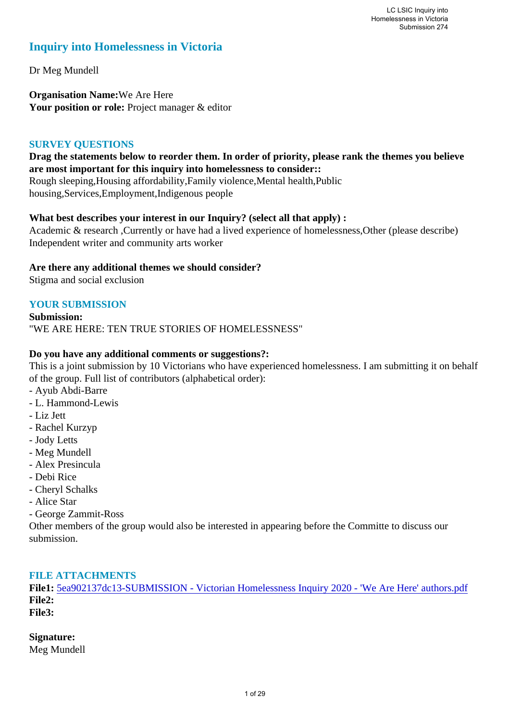### **Inquiry into Homelessness in Victoria**

Dr Meg Mundell

**Organisation Name:**We Are Here Your position or role: Project manager & editor

#### **SURVEY QUESTIONS**

#### **Drag the statements below to reorder them. In order of priority, please rank the themes you believe are most important for this inquiry into homelessness to consider::**

Rough sleeping,Housing affordability,Family violence,Mental health,Public housing,Services,Employment,Indigenous people

#### **What best describes your interest in our Inquiry? (select all that apply) :**

Academic & research ,Currently or have had a lived experience of homelessness,Other (please describe) Independent writer and community arts worker

#### **Are there any additional themes we should consider?**

Stigma and social exclusion

#### **YOUR SUBMISSION**

**Submission:**  "WE ARE HERE: TEN TRUE STORIES OF HOMELESSNESS"

#### **Do you have any additional comments or suggestions?:**

This is a joint submission by 10 Victorians who have experienced homelessness. I am submitting it on behalf of the group. Full list of contributors (alphabetical order):

- Ayub Abdi-Barre
- L. Hammond-Lewis
- Liz Jett
- Rachel Kurzyp
- Jody Letts
- Meg Mundell
- Alex Presincula
- Debi Rice
- Cheryl Schalks
- Alice Star
- George Zammit-Ross

Other members of the group would also be interested in appearing before the Committe to discuss our submission.

#### **FILE ATTACHMENTS**

**File1:** [5ea902137dc13-SUBMISSION - Victorian Homelessness Inquiry 2020 - 'We Are Here' authors.pdf](https://www.parliament.vic.gov.au/component/rsform/submission-view-file/3608d335cf768ddc106b70ff5e17d4ef/a22631f0d16b988a9903266251a10fd1?Itemid=527) **File2: File3:** 

#### **Signature:**

Meg Mundell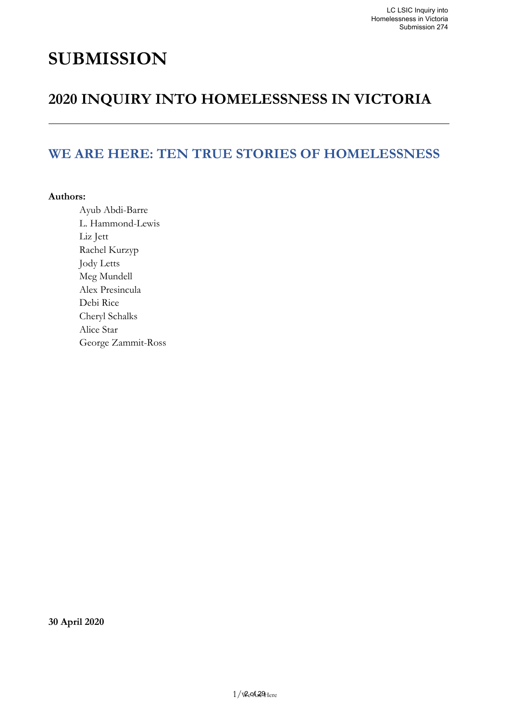# **SUBMISSION**

# **2020 INQUIRY INTO HOMELESSNESS IN VICTORIA**

# **WE ARE HERE: TEN TRUE STORIES OF HOMELESSNESS**

#### **Authors:**

Ayub Abdi-Barre L. Hammond-Lewis Liz Jett Rachel Kurzyp Jody Letts Meg Mundell Alex Presincula Debi Rice Cheryl Schalks Alice Star George Zammit-Ross

**30 April 2020**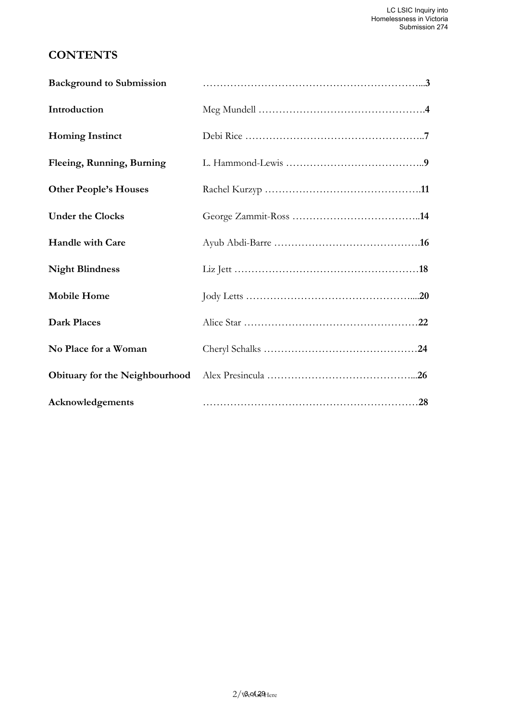### **CONTENTS**

| <b>Background to Submission</b> |  |
|---------------------------------|--|
| Introduction                    |  |
| <b>Homing Instinct</b>          |  |
| Fleeing, Running, Burning       |  |
| <b>Other People's Houses</b>    |  |
| <b>Under the Clocks</b>         |  |
| <b>Handle with Care</b>         |  |
| <b>Night Blindness</b>          |  |
| <b>Mobile Home</b>              |  |
| <b>Dark Places</b>              |  |
| No Place for a Woman            |  |
| Obituary for the Neighbourhood  |  |
| Acknowledgements                |  |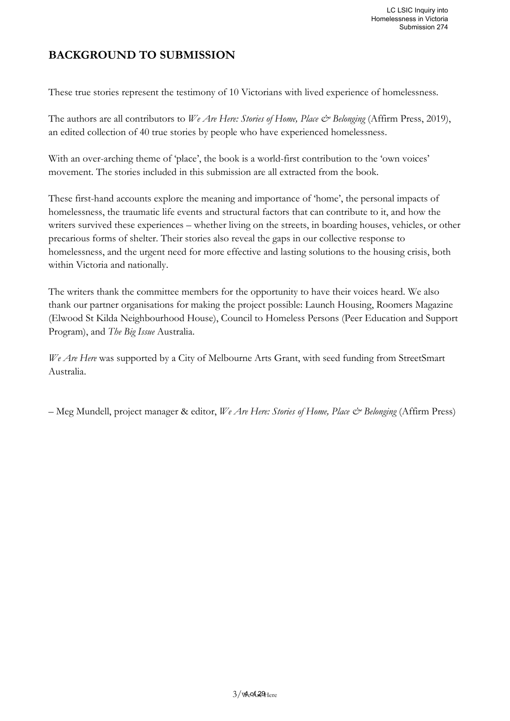### **BACKGROUND TO SUBMISSION**

These true stories represent the testimony of 10 Victorians with lived experience of homelessness.

The authors are all contributors to *We Are Here: Stories of Home, Place & Belonging* (Affirm Press, 2019), an edited collection of 40 true stories by people who have experienced homelessness.

With an over-arching theme of 'place', the book is a world-first contribution to the 'own voices' movement. The stories included in this submission are all extracted from the book.

These first-hand accounts explore the meaning and importance of 'home', the personal impacts of homelessness, the traumatic life events and structural factors that can contribute to it, and how the writers survived these experiences – whether living on the streets, in boarding houses, vehicles, or other precarious forms of shelter. Their stories also reveal the gaps in our collective response to homelessness, and the urgent need for more effective and lasting solutions to the housing crisis, both within Victoria and nationally.

The writers thank the committee members for the opportunity to have their voices heard. We also thank our partner organisations for making the project possible: Launch Housing, Roomers Magazine (Elwood St Kilda Neighbourhood House), Council to Homeless Persons (Peer Education and Support Program), and *The Big Issue* Australia.

*We Are Here* was supported by a City of Melbourne Arts Grant, with seed funding from StreetSmart Australia.

– Meg Mundell, project manager & editor, *We Are Here: Stories of Home, Place & Belonging* (Affirm Press)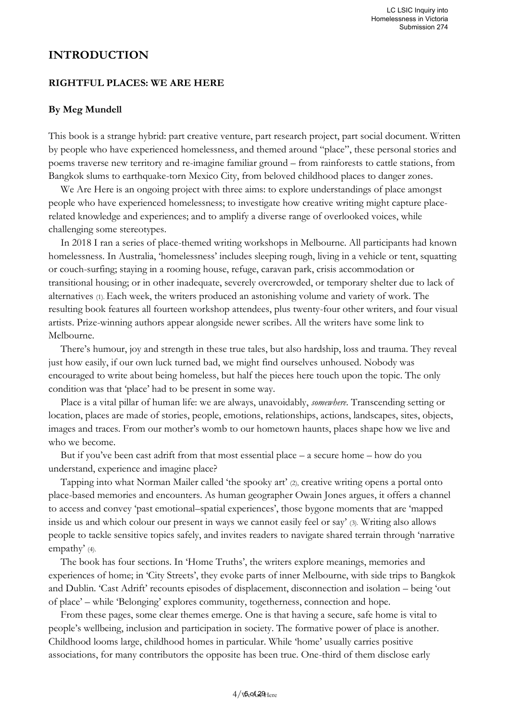#### **INTRODUCTION**

#### **RIGHTFUL PLACES: WE ARE HERE**

#### **By Meg Mundell**

This book is a strange hybrid: part creative venture, part research project, part social document. Written by people who have experienced homelessness, and themed around "place", these personal stories and poems traverse new territory and re-imagine familiar ground – from rainforests to cattle stations, from Bangkok slums to earthquake-torn Mexico City, from beloved childhood places to danger zones.

We Are Here is an ongoing project with three aims: to explore understandings of place amongst people who have experienced homelessness; to investigate how creative writing might capture placerelated knowledge and experiences; and to amplify a diverse range of overlooked voices, while challenging some stereotypes.

In 2018 I ran a series of place-themed writing workshops in Melbourne. All participants had known homelessness. In Australia, 'homelessness' includes sleeping rough, living in a vehicle or tent, squatting or couch-surfing; staying in a rooming house, refuge, caravan park, crisis accommodation or transitional housing; or in other inadequate, severely overcrowded, or temporary shelter due to lack of alternatives (1).Each week, the writers produced an astonishing volume and variety of work. The resulting book features all fourteen workshop attendees, plus twenty-four other writers, and four visual artists. Prize-winning authors appear alongside newer scribes. All the writers have some link to Melbourne.

There's humour, joy and strength in these true tales, but also hardship, loss and trauma. They reveal just how easily, if our own luck turned bad, we might find ourselves unhoused. Nobody was encouraged to write about being homeless, but half the pieces here touch upon the topic. The only condition was that 'place' had to be present in some way.

Place is a vital pillar of human life: we are always, unavoidably, *somewhere*. Transcending setting or location, places are made of stories, people, emotions, relationships, actions, landscapes, sites, objects, images and traces. From our mother's womb to our hometown haunts, places shape how we live and who we become.

But if you've been cast adrift from that most essential place – a secure home – how do you understand, experience and imagine place?

Tapping into what Norman Mailer called 'the spooky art' (2), creative writing opens a portal onto place-based memories and encounters. As human geographer Owain Jones argues, it offers a channel to access and convey 'past emotional–spatial experiences', those bygone moments that are 'mapped inside us and which colour our present in ways we cannot easily feel or say' (3). Writing also allows people to tackle sensitive topics safely, and invites readers to navigate shared terrain through 'narrative empathy' (4).

The book has four sections. In 'Home Truths', the writers explore meanings, memories and experiences of home; in 'City Streets', they evoke parts of inner Melbourne, with side trips to Bangkok and Dublin. 'Cast Adrift' recounts episodes of displacement, disconnection and isolation – being 'out of place' – while 'Belonging' explores community, togetherness, connection and hope.

From these pages, some clear themes emerge. One is that having a secure, safe home is vital to people's wellbeing, inclusion and participation in society. The formative power of place is another. Childhood looms large, childhood homes in particular. While 'home' usually carries positive associations, for many contributors the opposite has been true. One-third of them disclose early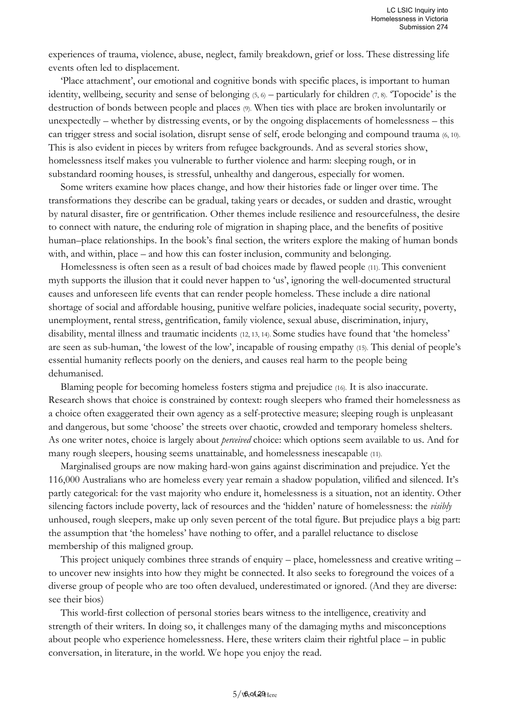experiences of trauma, violence, abuse, neglect, family breakdown, grief or loss. These distressing life events often led to displacement.

'Place attachment', our emotional and cognitive bonds with specific places, is important to human identity, wellbeing, security and sense of belonging  $(5, 6)$  – particularly for children  $(7, 8)$ . Topocide' is the destruction of bonds between people and places (9). When ties with place are broken involuntarily or unexpectedly – whether by distressing events, or by the ongoing displacements of homelessness – this can trigger stress and social isolation, disrupt sense of self, erode belonging and compound trauma (6, 10). This is also evident in pieces by writers from refugee backgrounds. And as several stories show, homelessness itself makes you vulnerable to further violence and harm: sleeping rough, or in substandard rooming houses, is stressful, unhealthy and dangerous, especially for women.

Some writers examine how places change, and how their histories fade or linger over time. The transformations they describe can be gradual, taking years or decades, or sudden and drastic, wrought by natural disaster, fire or gentrification. Other themes include resilience and resourcefulness, the desire to connect with nature, the enduring role of migration in shaping place, and the benefits of positive human–place relationships. In the book's final section, the writers explore the making of human bonds with, and within, place – and how this can foster inclusion, community and belonging.

Homelessness is often seen as a result of bad choices made by flawed people (11). This convenient myth supports the illusion that it could never happen to 'us', ignoring the well-documented structural causes and unforeseen life events that can render people homeless. These include a dire national shortage of social and affordable housing, punitive welfare policies, inadequate social security, poverty, unemployment, rental stress, gentrification, family violence, sexual abuse, discrimination, injury, disability, mental illness and traumatic incidents (12, 13, 14). Some studies have found that 'the homeless' are seen as sub-human, 'the lowest of the low', incapable of rousing empathy (15). This denial of people's essential humanity reflects poorly on the deniers, and causes real harm to the people being dehumanised.

Blaming people for becoming homeless fosters stigma and prejudice (16). It is also inaccurate. Research shows that choice is constrained by context: rough sleepers who framed their homelessness as a choice often exaggerated their own agency as a self-protective measure; sleeping rough is unpleasant and dangerous, but some 'choose' the streets over chaotic, crowded and temporary homeless shelters. As one writer notes, choice is largely about *perceived* choice: which options seem available to us. And for many rough sleepers, housing seems unattainable, and homelessness inescapable (11).

Marginalised groups are now making hard-won gains against discrimination and prejudice. Yet the 116,000 Australians who are homeless every year remain a shadow population, vilified and silenced. It's partly categorical: for the vast majority who endure it, homelessness is a situation, not an identity. Other silencing factors include poverty, lack of resources and the 'hidden' nature of homelessness: the *visibly* unhoused, rough sleepers, make up only seven percent of the total figure. But prejudice plays a big part: the assumption that 'the homeless' have nothing to offer, and a parallel reluctance to disclose membership of this maligned group.

This project uniquely combines three strands of enquiry – place, homelessness and creative writing – to uncover new insights into how they might be connected. It also seeks to foreground the voices of a diverse group of people who are too often devalued, underestimated or ignored. (And they are diverse: see their bios)

This world-first collection of personal stories bears witness to the intelligence, creativity and strength of their writers. In doing so, it challenges many of the damaging myths and misconceptions about people who experience homelessness. Here, these writers claim their rightful place – in public conversation, in literature, in the world. We hope you enjoy the read.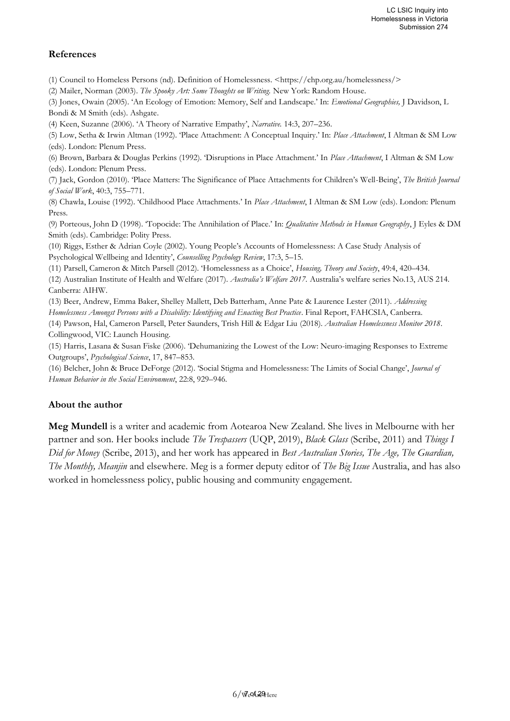#### **References**

(1) Council to Homeless Persons (nd). Definition of Homelessness. <https://chp.org.au/homelessness/>

(2) Mailer, Norman (2003). *The Spooky Art: Some Thoughts on Writing.* New York: Random House.

(3) Jones, Owain (2005). 'An Ecology of Emotion: Memory, Self and Landscape.' In: *Emotional Geographies,* J Davidson, L Bondi & M Smith (eds). Ashgate.

(4) Keen, Suzanne (2006). 'A Theory of Narrative Empathy', *Narrative.* 14:3, 207–236.

(5) Low, Setha & Irwin Altman (1992). 'Place Attachment: A Conceptual Inquiry.' In: *Place Attachment*, I Altman & SM Low (eds). London: Plenum Press.

(6) Brown, Barbara & Douglas Perkins (1992). 'Disruptions in Place Attachment.' In *Place Attachment*, I Altman & SM Low (eds). London: Plenum Press.

(7) Jack, Gordon (2010). 'Place Matters: The Significance of Place Attachments for Children's Well-Being', *The British Journal of Social Work*, 40:3, 755–771.

(8) Chawla, Louise (1992). 'Childhood Place Attachments.' In *Place Attachment*, I Altman & SM Low (eds). London: Plenum Press.

(9) Porteous, John D (1998). 'Topocide: The Annihilation of Place.' In: *Qualitative Methods in Human Geography*, J Eyles & DM Smith (eds). Cambridge: Polity Press.

(10) Riggs, Esther & Adrian Coyle (2002). Young People's Accounts of Homelessness: A Case Study Analysis of Psychological Wellbeing and Identity', *Counselling Psychology Review*, 17:3, 5–15.

(11) Parsell, Cameron & Mitch Parsell (2012). 'Homelessness as a Choice', *Housing, Theory and Society*, 49:4, 420–434.

(12) Australian Institute of Health and Welfare (2017). *Australia's Welfare 2017.* Australia's welfare series No.13, AUS 214. Canberra: AIHW.

(13) Beer, Andrew, Emma Baker, Shelley Mallett, Deb Batterham, Anne Pate & Laurence Lester (2011). *Addressing Homelessness Amongst Persons with a Disability: Identifying and Enacting Best Practice*. Final Report, FAHCSIA, Canberra.

(14) Pawson, Hal, Cameron Parsell, Peter Saunders, Trish Hill & Edgar Liu (2018). *Australian Homelessness Monitor 2018*. Collingwood, VIC: Launch Housing.

(15) Harris, Lasana & Susan Fiske (2006). 'Dehumanizing the Lowest of the Low: Neuro-imaging Responses to Extreme Outgroups', *Psychological Science*, 17, 847–853.

(16) Belcher, John & Bruce DeForge (2012). 'Social Stigma and Homelessness: The Limits of Social Change', *Journal of Human Behavior in the Social Environment*, 22:8, 929–946.

#### **About the author**

**Meg Mundell** is a writer and academic from Aotearoa New Zealand. She lives in Melbourne with her partner and son. Her books include *The Trespassers* (UQP, 2019), *Black Glass* (Scribe, 2011) and *Things I Did for Money* (Scribe, 2013), and her work has appeared in *Best Australian Stories, The Age, The Guardian, The Monthly, Meanjin* and elsewhere. Meg is a former deputy editor of *The Big Issue* Australia, and has also worked in homelessness policy, public housing and community engagement.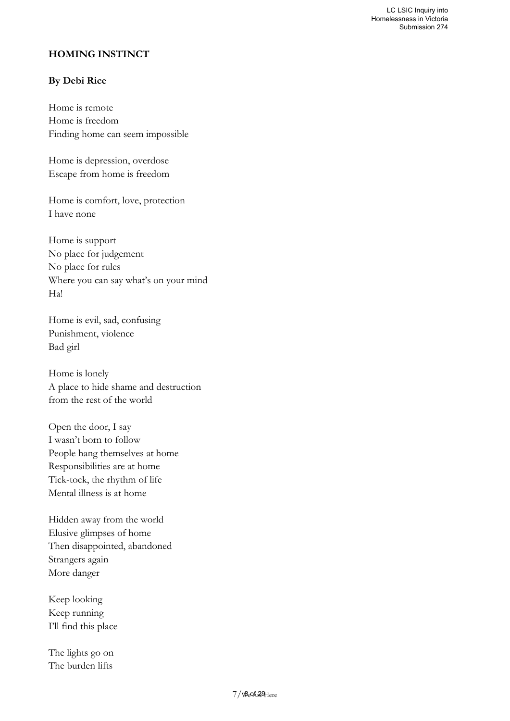#### **HOMING INSTINCT**

#### **By Debi Rice**

Home is remote Home is freedom Finding home can seem impossible

Home is depression, overdose Escape from home is freedom

Home is comfort, love, protection I have none

Home is support No place for judgement No place for rules Where you can say what's on your mind Ha!

Home is evil, sad, confusing Punishment, violence Bad girl

Home is lonely A place to hide shame and destruction from the rest of the world

Open the door, I say I wasn't born to follow People hang themselves at home Responsibilities are at home Tick-tock, the rhythm of life Mental illness is at home

Hidden away from the world Elusive glimpses of home Then disappointed, abandoned Strangers again More danger

Keep looking Keep running I'll find this place

The lights go on The burden lifts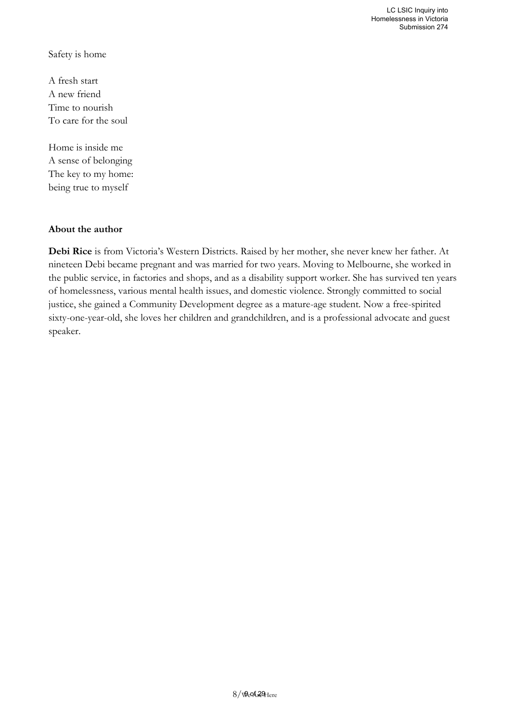Safety is home

A fresh start A new friend Time to nourish To care for the soul

Home is inside me A sense of belonging The key to my home: being true to myself

#### **About the author**

**Debi Rice** is from Victoria's Western Districts. Raised by her mother, she never knew her father. At nineteen Debi became pregnant and was married for two years. Moving to Melbourne, she worked in the public service, in factories and shops, and as a disability support worker. She has survived ten years of homelessness, various mental health issues, and domestic violence. Strongly committed to social justice, she gained a Community Development degree as a mature-age student. Now a free-spirited sixty-one-year-old, she loves her children and grandchildren, and is a professional advocate and guest speaker.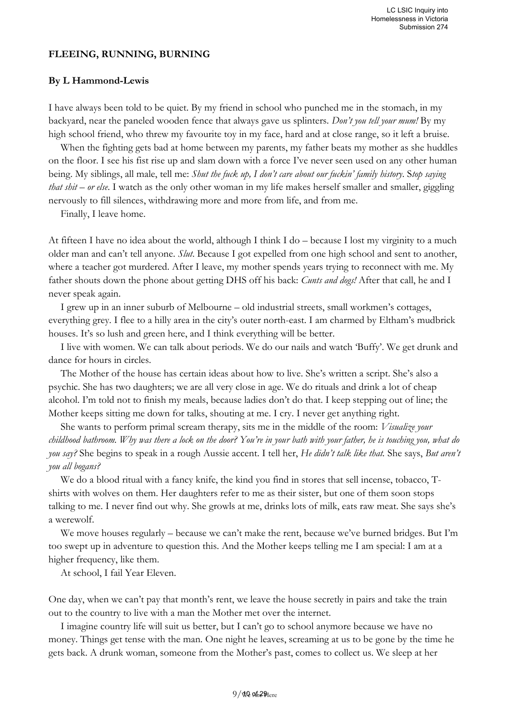#### **FLEEING, RUNNING, BURNING**

#### **By L Hammond-Lewis**

I have always been told to be quiet. By my friend in school who punched me in the stomach, in my backyard, near the paneled wooden fence that always gave us splinters. *Don't you tell your mum!* By my high school friend, who threw my favourite toy in my face, hard and at close range, so it left a bruise.

When the fighting gets bad at home between my parents, my father beats my mother as she huddles on the floor. I see his fist rise up and slam down with a force I've never seen used on any other human being. My siblings, all male, tell me: *Shut the fuck up, I don't care about our fuckin' family history*. S*top saying that shit – or else*. I watch as the only other woman in my life makes herself smaller and smaller, giggling nervously to fill silences, withdrawing more and more from life, and from me.

Finally, I leave home.

At fifteen I have no idea about the world, although I think I do – because I lost my virginity to a much older man and can't tell anyone. *Slut*. Because I got expelled from one high school and sent to another, where a teacher got murdered. After I leave, my mother spends years trying to reconnect with me. My father shouts down the phone about getting DHS off his back: *Cunts and dogs!* After that call, he and I never speak again.

I grew up in an inner suburb of Melbourne – old industrial streets, small workmen's cottages, everything grey. I flee to a hilly area in the city's outer north-east. I am charmed by Eltham's mudbrick houses. It's so lush and green here, and I think everything will be better.

I live with women. We can talk about periods. We do our nails and watch 'Buffy'. We get drunk and dance for hours in circles.

The Mother of the house has certain ideas about how to live. She's written a script. She's also a psychic. She has two daughters; we are all very close in age. We do rituals and drink a lot of cheap alcohol. I'm told not to finish my meals, because ladies don't do that. I keep stepping out of line; the Mother keeps sitting me down for talks, shouting at me. I cry. I never get anything right.

She wants to perform primal scream therapy, sits me in the middle of the room: *Visualize your childhood bathroom. Why was there a lock on the door? You're in your bath with your father, he is touching you, what do you say?* She begins to speak in a rough Aussie accent. I tell her, *He didn't talk like that.* She says, *But aren't you all bogans?*

We do a blood ritual with a fancy knife, the kind you find in stores that sell incense, tobacco, Tshirts with wolves on them. Her daughters refer to me as their sister, but one of them soon stops talking to me. I never find out why. She growls at me, drinks lots of milk, eats raw meat. She says she's a werewolf.

We move houses regularly – because we can't make the rent, because we've burned bridges. But I'm too swept up in adventure to question this. And the Mother keeps telling me I am special: I am at a higher frequency, like them.

At school, I fail Year Eleven.

One day, when we can't pay that month's rent, we leave the house secretly in pairs and take the train out to the country to live with a man the Mother met over the internet.

I imagine country life will suit us better, but I can't go to school anymore because we have no money. Things get tense with the man. One night he leaves, screaming at us to be gone by the time he gets back. A drunk woman, someone from the Mother's past, comes to collect us. We sleep at her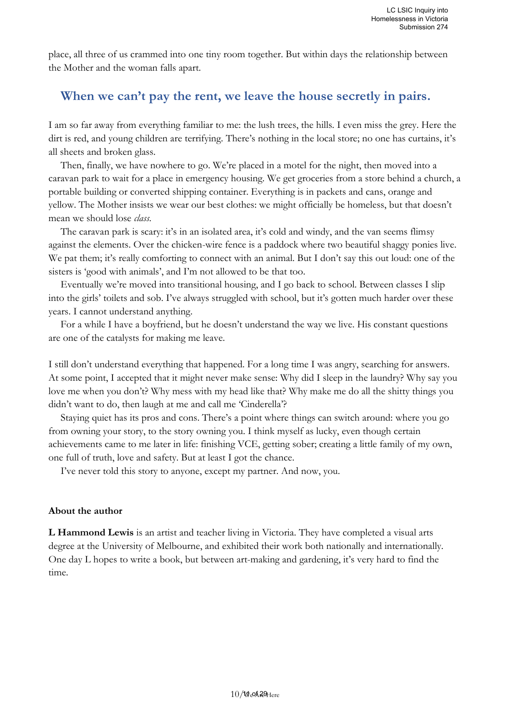place, all three of us crammed into one tiny room together. But within days the relationship between the Mother and the woman falls apart.

### **When we can't pay the rent, we leave the house secretly in pairs.**

I am so far away from everything familiar to me: the lush trees, the hills. I even miss the grey. Here the dirt is red, and young children are terrifying. There's nothing in the local store; no one has curtains, it's all sheets and broken glass.

Then, finally, we have nowhere to go. We're placed in a motel for the night, then moved into a caravan park to wait for a place in emergency housing. We get groceries from a store behind a church, a portable building or converted shipping container. Everything is in packets and cans, orange and yellow. The Mother insists we wear our best clothes: we might officially be homeless, but that doesn't mean we should lose *class*.

The caravan park is scary: it's in an isolated area, it's cold and windy, and the van seems flimsy against the elements. Over the chicken-wire fence is a paddock where two beautiful shaggy ponies live. We pat them; it's really comforting to connect with an animal. But I don't say this out loud: one of the sisters is 'good with animals', and I'm not allowed to be that too.

Eventually we're moved into transitional housing, and I go back to school. Between classes I slip into the girls' toilets and sob. I've always struggled with school, but it's gotten much harder over these years. I cannot understand anything.

For a while I have a boyfriend, but he doesn't understand the way we live. His constant questions are one of the catalysts for making me leave.

I still don't understand everything that happened. For a long time I was angry, searching for answers. At some point, I accepted that it might never make sense: Why did I sleep in the laundry? Why say you love me when you don't? Why mess with my head like that? Why make me do all the shitty things you didn't want to do, then laugh at me and call me 'Cinderella'?

Staying quiet has its pros and cons. There's a point where things can switch around: where you go from owning your story, to the story owning you. I think myself as lucky, even though certain achievements came to me later in life: finishing VCE, getting sober; creating a little family of my own, one full of truth, love and safety. But at least I got the chance.

I've never told this story to anyone, except my partner. And now, you.

#### **About the author**

**L Hammond Lewis** is an artist and teacher living in Victoria. They have completed a visual arts degree at the University of Melbourne, and exhibited their work both nationally and internationally. One day L hopes to write a book, but between art-making and gardening, it's very hard to find the time.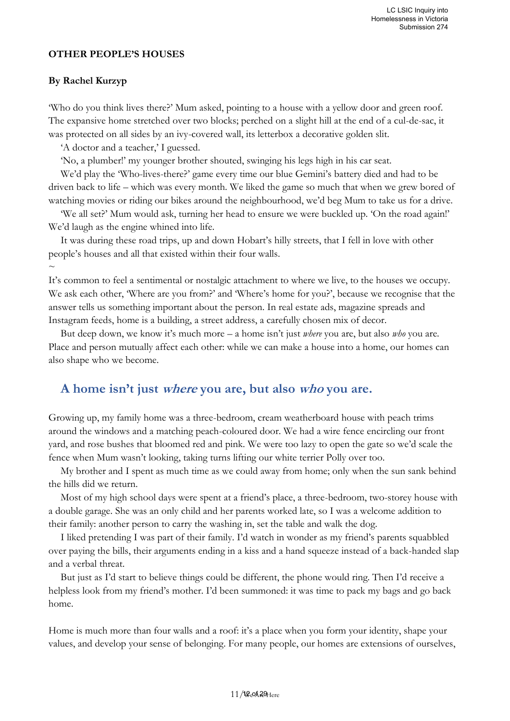#### **OTHER PEOPLE'S HOUSES**

#### **By Rachel Kurzyp**

'Who do you think lives there?' Mum asked, pointing to a house with a yellow door and green roof. The expansive home stretched over two blocks; perched on a slight hill at the end of a cul-de-sac, it was protected on all sides by an ivy-covered wall, its letterbox a decorative golden slit.

'A doctor and a teacher,' I guessed.

'No, a plumber!' my younger brother shouted, swinging his legs high in his car seat.

We'd play the 'Who-lives-there?' game every time our blue Gemini's battery died and had to be driven back to life – which was every month. We liked the game so much that when we grew bored of watching movies or riding our bikes around the neighbourhood, we'd beg Mum to take us for a drive.

'We all set?' Mum would ask, turning her head to ensure we were buckled up. 'On the road again!' We'd laugh as the engine whined into life.

It was during these road trips, up and down Hobart's hilly streets, that I fell in love with other people's houses and all that existed within their four walls.

 $\sim$ 

It's common to feel a sentimental or nostalgic attachment to where we live, to the houses we occupy. We ask each other, 'Where are you from?' and 'Where's home for you?', because we recognise that the answer tells us something important about the person. In real estate ads, magazine spreads and Instagram feeds, home is a building, a street address, a carefully chosen mix of decor.

But deep down, we know it's much more – a home isn't just *where* you are, but also *who* you are. Place and person mutually affect each other: while we can make a house into a home, our homes can also shape who we become.

### **A home isn't just where you are, but also who you are.**

Growing up, my family home was a three-bedroom, cream weatherboard house with peach trims around the windows and a matching peach-coloured door. We had a wire fence encircling our front yard, and rose bushes that bloomed red and pink. We were too lazy to open the gate so we'd scale the fence when Mum wasn't looking, taking turns lifting our white terrier Polly over too.

My brother and I spent as much time as we could away from home; only when the sun sank behind the hills did we return.

Most of my high school days were spent at a friend's place, a three-bedroom, two-storey house with a double garage. She was an only child and her parents worked late, so I was a welcome addition to their family: another person to carry the washing in, set the table and walk the dog.

I liked pretending I was part of their family. I'd watch in wonder as my friend's parents squabbled over paying the bills, their arguments ending in a kiss and a hand squeeze instead of a back-handed slap and a verbal threat.

But just as I'd start to believe things could be different, the phone would ring. Then I'd receive a helpless look from my friend's mother. I'd been summoned: it was time to pack my bags and go back home.

Home is much more than four walls and a roof: it's a place when you form your identity, shape your values, and develop your sense of belonging. For many people, our homes are extensions of ourselves,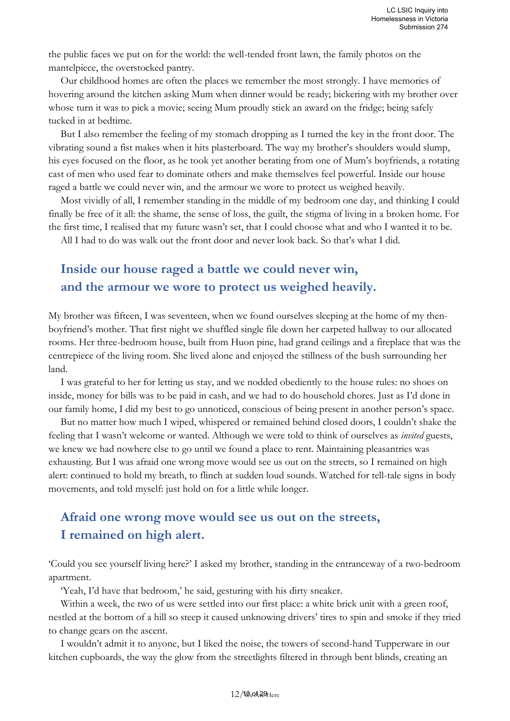the public faces we put on for the world: the well-tended front lawn, the family photos on the mantelpiece, the overstocked pantry.

Our childhood homes are often the places we remember the most strongly. I have memories of hovering around the kitchen asking Mum when dinner would be ready; bickering with my brother over whose turn it was to pick a movie; seeing Mum proudly stick an award on the fridge; being safely tucked in at bedtime.

But I also remember the feeling of my stomach dropping as I turned the key in the front door. The vibrating sound a fist makes when it hits plasterboard. The way my brother's shoulders would slump, his eyes focused on the floor, as he took yet another berating from one of Mum's boyfriends, a rotating cast of men who used fear to dominate others and make themselves feel powerful. Inside our house raged a battle we could never win, and the armour we wore to protect us weighed heavily.

Most vividly of all, I remember standing in the middle of my bedroom one day, and thinking I could finally be free of it all: the shame, the sense of loss, the guilt, the stigma of living in a broken home. For the first time, I realised that my future wasn't set, that I could choose what and who I wanted it to be.

All I had to do was walk out the front door and never look back. So that's what I did.

### **Inside our house raged a battle we could never win, and the armour we wore to protect us weighed heavily.**

My brother was fifteen, I was seventeen, when we found ourselves sleeping at the home of my thenboyfriend's mother. That first night we shuffled single file down her carpeted hallway to our allocated rooms. Her three-bedroom house, built from Huon pine, had grand ceilings and a fireplace that was the centrepiece of the living room. She lived alone and enjoyed the stillness of the bush surrounding her land.

I was grateful to her for letting us stay, and we nodded obediently to the house rules: no shoes on inside, money for bills was to be paid in cash, and we had to do household chores. Just as I'd done in our family home, I did my best to go unnoticed, conscious of being present in another person's space.

But no matter how much I wiped, whispered or remained behind closed doors, I couldn't shake the feeling that I wasn't welcome or wanted. Although we were told to think of ourselves as *invited* guests, we knew we had nowhere else to go until we found a place to rent. Maintaining pleasantries was exhausting. But I was afraid one wrong move would see us out on the streets, so I remained on high alert: continued to hold my breath, to flinch at sudden loud sounds. Watched for tell-tale signs in body movements, and told myself: just hold on for a little while longer.

# **Afraid one wrong move would see us out on the streets, I remained on high alert.**

'Could you see yourself living here?' I asked my brother, standing in the entranceway of a two-bedroom apartment.

'Yeah, I'd have that bedroom,' he said, gesturing with his dirty sneaker.

Within a week, the two of us were settled into our first place: a white brick unit with a green roof, nestled at the bottom of a hill so steep it caused unknowing drivers' tires to spin and smoke if they tried to change gears on the ascent.

I wouldn't admit it to anyone, but I liked the noise, the towers of second-hand Tupperware in our kitchen cupboards, the way the glow from the streetlights filtered in through bent blinds, creating an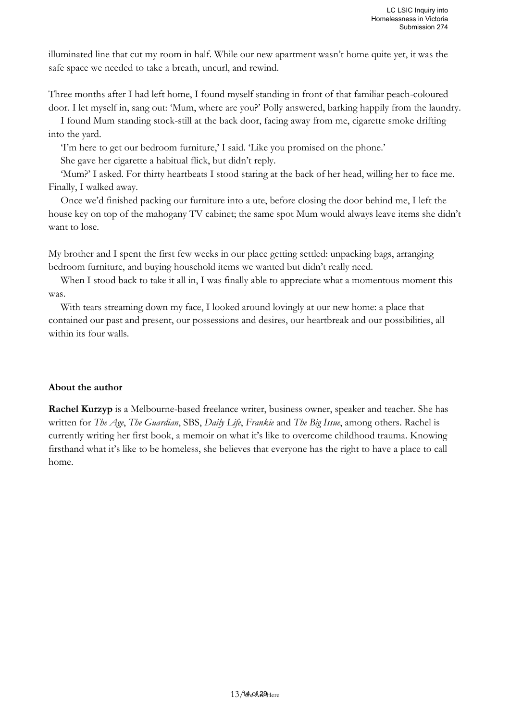illuminated line that cut my room in half. While our new apartment wasn't home quite yet, it was the safe space we needed to take a breath, uncurl, and rewind.

Three months after I had left home, I found myself standing in front of that familiar peach-coloured door. I let myself in, sang out: 'Mum, where are you?' Polly answered, barking happily from the laundry.

I found Mum standing stock-still at the back door, facing away from me, cigarette smoke drifting into the yard.

'I'm here to get our bedroom furniture,' I said. 'Like you promised on the phone.' She gave her cigarette a habitual flick, but didn't reply.

'Mum?' I asked. For thirty heartbeats I stood staring at the back of her head, willing her to face me. Finally, I walked away.

Once we'd finished packing our furniture into a ute, before closing the door behind me, I left the house key on top of the mahogany TV cabinet; the same spot Mum would always leave items she didn't want to lose.

My brother and I spent the first few weeks in our place getting settled: unpacking bags, arranging bedroom furniture, and buying household items we wanted but didn't really need.

When I stood back to take it all in, I was finally able to appreciate what a momentous moment this was.

With tears streaming down my face, I looked around lovingly at our new home: a place that contained our past and present, our possessions and desires, our heartbreak and our possibilities, all within its four walls.

#### **About the author**

**Rachel Kurzyp** is a Melbourne-based freelance writer, business owner, speaker and teacher. She has written for *The Age*, *The Guardian*, SBS, *Daily Life*, *Frankie* and *The Big Issue*, among others. Rachel is currently writing her first book, a memoir on what it's like to overcome childhood trauma. Knowing firsthand what it's like to be homeless, she believes that everyone has the right to have a place to call home.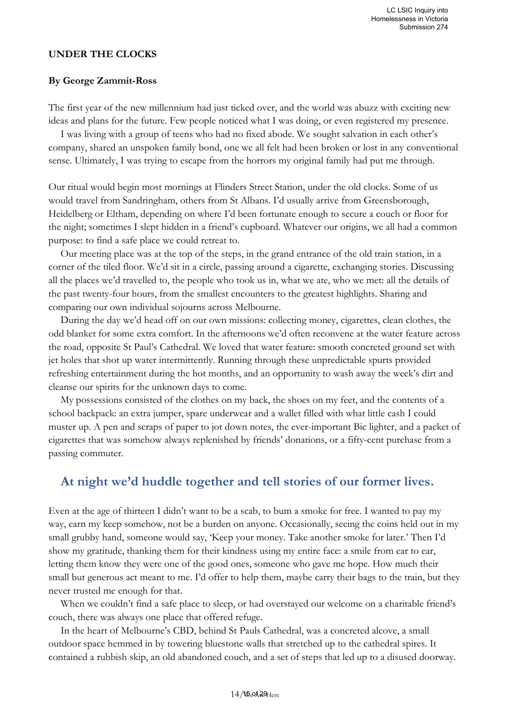#### **UNDER THE CLOCKS**

#### **By George Zammit-Ross**

The first year of the new millennium had just ticked over, and the world was abuzz with exciting new ideas and plans for the future. Few people noticed what I was doing, or even registered my presence.

I was living with a group of teens who had no fixed abode. We sought salvation in each other's company, shared an unspoken family bond, one we all felt had been broken or lost in any conventional sense. Ultimately, I was trying to escape from the horrors my original family had put me through.

Our ritual would begin most mornings at Flinders Street Station, under the old clocks. Some of us would travel from Sandringham, others from St Albans. I'd usually arrive from Greensborough, Heidelberg or Eltham, depending on where I'd been fortunate enough to secure a couch or floor for the night; sometimes I slept hidden in a friend's cupboard. Whatever our origins, we all had a common purpose: to find a safe place we could retreat to.

Our meeting place was at the top of the steps, in the grand entrance of the old train station, in a corner of the tiled floor. We'd sit in a circle, passing around a cigarette, exchanging stories. Discussing all the places we'd travelled to, the people who took us in, what we ate, who we met: all the details of the past twenty-four hours, from the smallest encounters to the greatest highlights. Sharing and comparing our own individual sojourns across Melbourne.

During the day we'd head off on our own missions: collecting money, cigarettes, clean clothes, the odd blanket for some extra comfort. In the afternoons we'd often reconvene at the water feature across the road, opposite St Paul's Cathedral. We loved that water feature: smooth concreted ground set with jet holes that shot up water intermittently. Running through these unpredictable spurts provided refreshing entertainment during the hot months, and an opportunity to wash away the week's dirt and cleanse our spirits for the unknown days to come.

My possessions consisted of the clothes on my back, the shoes on my feet, and the contents of a school backpack: an extra jumper, spare underwear and a wallet filled with what little cash I could muster up. A pen and scraps of paper to jot down notes, the ever-important Bic lighter, and a packet of cigarettes that was somehow always replenished by friends' donations, or a fifty-cent purchase from a passing commuter.

### **At night we'd huddle together and tell stories of our former lives.**

Even at the age of thirteen I didn't want to be a scab, to bum a smoke for free. I wanted to pay my way, earn my keep somehow, not be a burden on anyone. Occasionally, seeing the coins held out in my small grubby hand, someone would say, 'Keep your money. Take another smoke for later.' Then I'd show my gratitude, thanking them for their kindness using my entire face: a smile from ear to ear, letting them know they were one of the good ones, someone who gave me hope. How much their small but generous act meant to me. I'd offer to help them, maybe carry their bags to the train, but they never trusted me enough for that.

When we couldn't find a safe place to sleep, or had overstayed our welcome on a charitable friend's couch, there was always one place that offered refuge.

In the heart of Melbourne's CBD, behind St Pauls Cathedral, was a concreted alcove, a small outdoor space hemmed in by towering bluestone walls that stretched up to the cathedral spires. It contained a rubbish skip, an old abandoned couch, and a set of steps that led up to a disused doorway.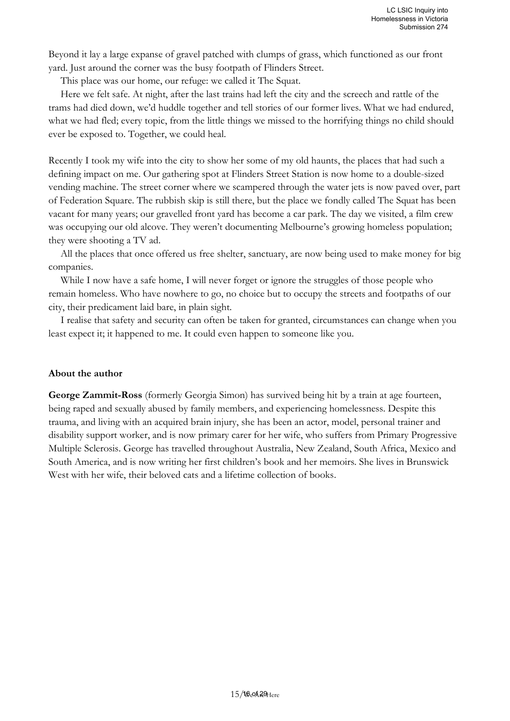Beyond it lay a large expanse of gravel patched with clumps of grass, which functioned as our front yard. Just around the corner was the busy footpath of Flinders Street.

This place was our home, our refuge: we called it The Squat.

Here we felt safe. At night, after the last trains had left the city and the screech and rattle of the trams had died down, we'd huddle together and tell stories of our former lives. What we had endured, what we had fled; every topic, from the little things we missed to the horrifying things no child should ever be exposed to. Together, we could heal.

Recently I took my wife into the city to show her some of my old haunts, the places that had such a defining impact on me. Our gathering spot at Flinders Street Station is now home to a double-sized vending machine. The street corner where we scampered through the water jets is now paved over, part of Federation Square. The rubbish skip is still there, but the place we fondly called The Squat has been vacant for many years; our gravelled front yard has become a car park. The day we visited, a film crew was occupying our old alcove. They weren't documenting Melbourne's growing homeless population; they were shooting a TV ad.

All the places that once offered us free shelter, sanctuary, are now being used to make money for big companies.

While I now have a safe home, I will never forget or ignore the struggles of those people who remain homeless. Who have nowhere to go, no choice but to occupy the streets and footpaths of our city, their predicament laid bare, in plain sight.

I realise that safety and security can often be taken for granted, circumstances can change when you least expect it; it happened to me. It could even happen to someone like you.

#### **About the author**

**George Zammit-Ross** (formerly Georgia Simon) has survived being hit by a train at age fourteen, being raped and sexually abused by family members, and experiencing homelessness. Despite this trauma, and living with an acquired brain injury, she has been an actor, model, personal trainer and disability support worker, and is now primary carer for her wife, who suffers from Primary Progressive Multiple Sclerosis. George has travelled throughout Australia, New Zealand, South Africa, Mexico and South America, and is now writing her first children's book and her memoirs. She lives in Brunswick West with her wife, their beloved cats and a lifetime collection of books.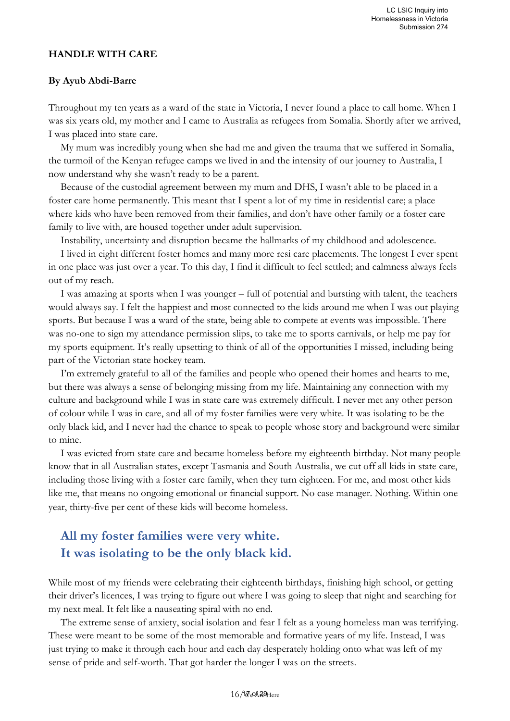#### **HANDLE WITH CARE**

#### **By Ayub Abdi-Barre**

Throughout my ten years as a ward of the state in Victoria, I never found a place to call home. When I was six years old, my mother and I came to Australia as refugees from Somalia. Shortly after we arrived, I was placed into state care.

My mum was incredibly young when she had me and given the trauma that we suffered in Somalia, the turmoil of the Kenyan refugee camps we lived in and the intensity of our journey to Australia, I now understand why she wasn't ready to be a parent.

Because of the custodial agreement between my mum and DHS, I wasn't able to be placed in a foster care home permanently. This meant that I spent a lot of my time in residential care; a place where kids who have been removed from their families, and don't have other family or a foster care family to live with, are housed together under adult supervision.

Instability, uncertainty and disruption became the hallmarks of my childhood and adolescence.

I lived in eight different foster homes and many more resi care placements. The longest I ever spent in one place was just over a year. To this day, I find it difficult to feel settled; and calmness always feels out of my reach.

I was amazing at sports when I was younger – full of potential and bursting with talent, the teachers would always say. I felt the happiest and most connected to the kids around me when I was out playing sports. But because I was a ward of the state, being able to compete at events was impossible. There was no-one to sign my attendance permission slips, to take me to sports carnivals, or help me pay for my sports equipment. It's really upsetting to think of all of the opportunities I missed, including being part of the Victorian state hockey team.

I'm extremely grateful to all of the families and people who opened their homes and hearts to me, but there was always a sense of belonging missing from my life. Maintaining any connection with my culture and background while I was in state care was extremely difficult. I never met any other person of colour while I was in care, and all of my foster families were very white. It was isolating to be the only black kid, and I never had the chance to speak to people whose story and background were similar to mine.

I was evicted from state care and became homeless before my eighteenth birthday. Not many people know that in all Australian states, except Tasmania and South Australia, we cut off all kids in state care, including those living with a foster care family, when they turn eighteen. For me, and most other kids like me, that means no ongoing emotional or financial support. No case manager. Nothing. Within one year, thirty-five per cent of these kids will become homeless.

# **All my foster families were very white. It was isolating to be the only black kid.**

While most of my friends were celebrating their eighteenth birthdays, finishing high school, or getting their driver's licences, I was trying to figure out where I was going to sleep that night and searching for my next meal. It felt like a nauseating spiral with no end.

The extreme sense of anxiety, social isolation and fear I felt as a young homeless man was terrifying. These were meant to be some of the most memorable and formative years of my life. Instead, I was just trying to make it through each hour and each day desperately holding onto what was left of my sense of pride and self-worth. That got harder the longer I was on the streets.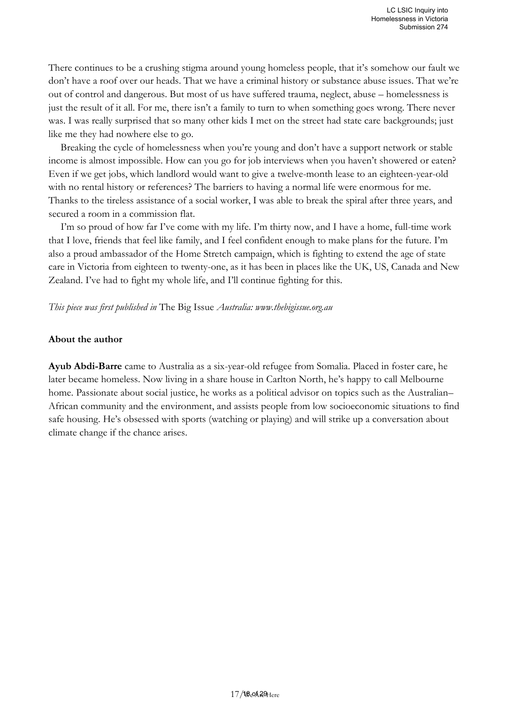There continues to be a crushing stigma around young homeless people, that it's somehow our fault we don't have a roof over our heads. That we have a criminal history or substance abuse issues. That we're out of control and dangerous. But most of us have suffered trauma, neglect, abuse – homelessness is just the result of it all. For me, there isn't a family to turn to when something goes wrong. There never was. I was really surprised that so many other kids I met on the street had state care backgrounds; just like me they had nowhere else to go.

Breaking the cycle of homelessness when you're young and don't have a support network or stable income is almost impossible. How can you go for job interviews when you haven't showered or eaten? Even if we get jobs, which landlord would want to give a twelve-month lease to an eighteen-year-old with no rental history or references? The barriers to having a normal life were enormous for me. Thanks to the tireless assistance of a social worker, I was able to break the spiral after three years, and secured a room in a commission flat.

I'm so proud of how far I've come with my life. I'm thirty now, and I have a home, full-time work that I love, friends that feel like family, and I feel confident enough to make plans for the future. I'm also a proud ambassador of the Home Stretch campaign, which is fighting to extend the age of state care in Victoria from eighteen to twenty-one, as it has been in places like the UK, US, Canada and New Zealand. I've had to fight my whole life, and I'll continue fighting for this.

#### *This piece was first published in* The Big Issue *Australia: www[.thebigissue.org.au](https://protect-au.mimecast.com/s/Z6MOCxng2gU187Gf8XFt7?domain=thebigissue.org.au)*

#### **About the author**

**Ayub Abdi-Barre** came to Australia as a six-year-old refugee from Somalia. Placed in foster care, he later became homeless. Now living in a share house in Carlton North, he's happy to call Melbourne home. Passionate about social justice, he works as a political advisor on topics such as the Australian– African community and the environment, and assists people from low socioeconomic situations to find safe housing. He's obsessed with sports (watching or playing) and will strike up a conversation about climate change if the chance arises.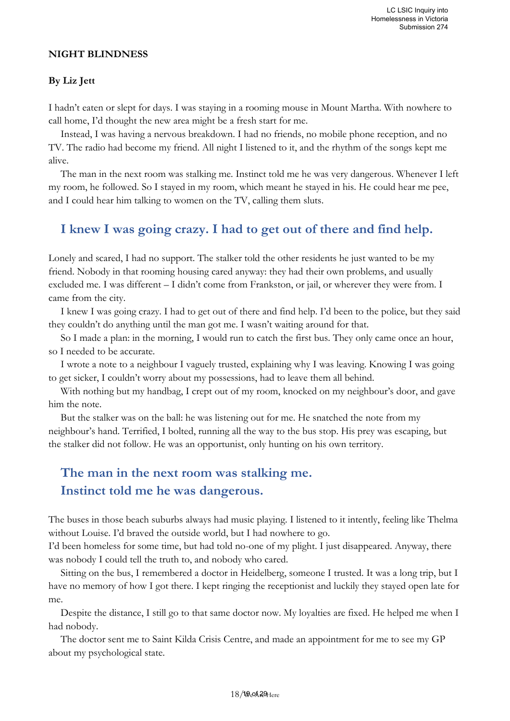#### **NIGHT BLINDNESS**

#### **By Liz Jett**

I hadn't eaten or slept for days. I was staying in a rooming mouse in Mount Martha. With nowhere to call home, I'd thought the new area might be a fresh start for me.

Instead, I was having a nervous breakdown. I had no friends, no mobile phone reception, and no TV. The radio had become my friend. All night I listened to it, and the rhythm of the songs kept me alive.

The man in the next room was stalking me. Instinct told me he was very dangerous. Whenever I left my room, he followed. So I stayed in my room, which meant he stayed in his. He could hear me pee, and I could hear him talking to women on the TV, calling them sluts.

### **I knew I was going crazy. I had to get out of there and find help.**

Lonely and scared, I had no support. The stalker told the other residents he just wanted to be my friend. Nobody in that rooming housing cared anyway: they had their own problems, and usually excluded me. I was different – I didn't come from Frankston, or jail, or wherever they were from. I came from the city.

I knew I was going crazy. I had to get out of there and find help. I'd been to the police, but they said they couldn't do anything until the man got me. I wasn't waiting around for that.

So I made a plan: in the morning, I would run to catch the first bus. They only came once an hour, so I needed to be accurate.

I wrote a note to a neighbour I vaguely trusted, explaining why I was leaving. Knowing I was going to get sicker, I couldn't worry about my possessions, had to leave them all behind.

With nothing but my handbag, I crept out of my room, knocked on my neighbour's door, and gave him the note.

But the stalker was on the ball: he was listening out for me. He snatched the note from my neighbour's hand. Terrified, I bolted, running all the way to the bus stop. His prey was escaping, but the stalker did not follow. He was an opportunist, only hunting on his own territory.

# **The man in the next room was stalking me. Instinct told me he was dangerous.**

The buses in those beach suburbs always had music playing. I listened to it intently, feeling like Thelma without Louise. I'd braved the outside world, but I had nowhere to go.

I'd been homeless for some time, but had told no-one of my plight. I just disappeared. Anyway, there was nobody I could tell the truth to, and nobody who cared.

Sitting on the bus, I remembered a doctor in Heidelberg, someone I trusted. It was a long trip, but I have no memory of how I got there. I kept ringing the receptionist and luckily they stayed open late for me.

Despite the distance, I still go to that same doctor now. My loyalties are fixed. He helped me when I had nobody.

The doctor sent me to Saint Kilda Crisis Centre, and made an appointment for me to see my GP about my psychological state.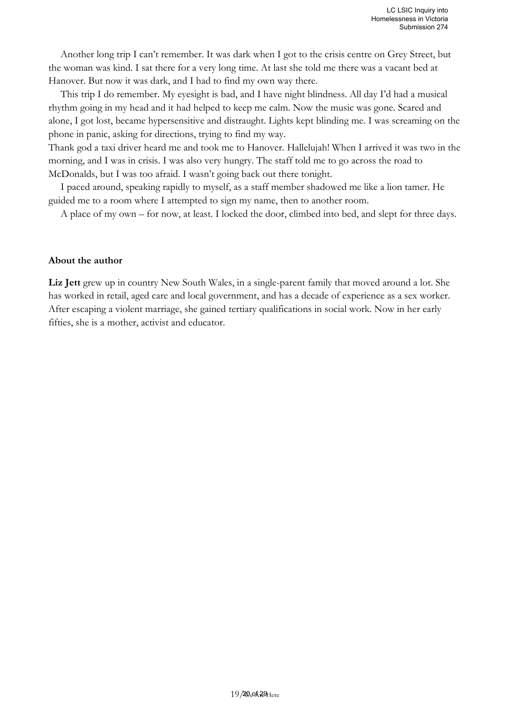Another long trip I can't remember. It was dark when I got to the crisis centre on Grey Street, but the woman was kind. I sat there for a very long time. At last she told me there was a vacant bed at Hanover. But now it was dark, and I had to find my own way there.

This trip I do remember. My eyesight is bad, and I have night blindness. All day I'd had a musical rhythm going in my head and it had helped to keep me calm. Now the music was gone. Scared and alone, I got lost, became hypersensitive and distraught. Lights kept blinding me. I was screaming on the phone in panic, asking for directions, trying to find my way.

Thank god a taxi driver heard me and took me to Hanover. Hallelujah! When I arrived it was two in the morning, and I was in crisis. I was also very hungry. The staff told me to go across the road to McDonalds, but I was too afraid. I wasn't going back out there tonight.

I paced around, speaking rapidly to myself, as a staff member shadowed me like a lion tamer. He guided me to a room where I attempted to sign my name, then to another room.

A place of my own – for now, at least. I locked the door, climbed into bed, and slept for three days.

#### **About the author**

**Liz Jett** grew up in country New South Wales, in a single-parent family that moved around a lot. She has worked in retail, aged care and local government, and has a decade of experience as a sex worker. After escaping a violent marriage, she gained tertiary qualifications in social work. Now in her early fifties, she is a mother, activist and educator.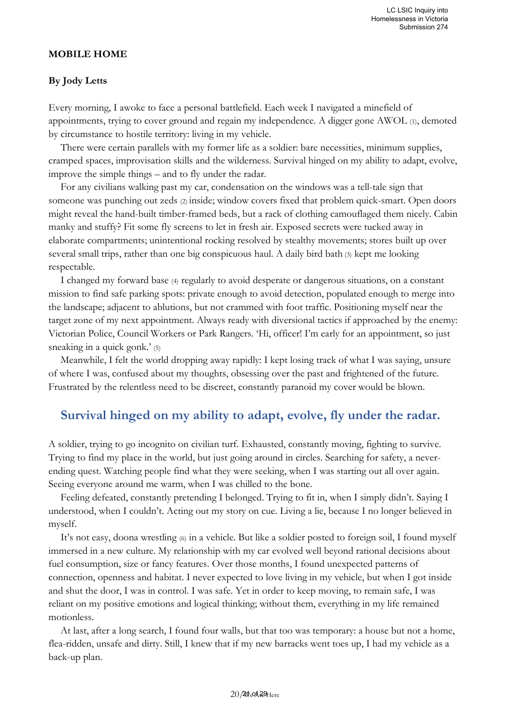#### **MOBILE HOME**

#### **By Jody Letts**

Every morning, I awoke to face a personal battlefield. Each week I navigated a minefield of appointments, trying to cover ground and regain my independence. A digger gone AWOL (1), demoted by circumstance to hostile territory: living in my vehicle.

There were certain parallels with my former life as a soldier: bare necessities, minimum supplies, cramped spaces, improvisation skills and the wilderness. Survival hinged on my ability to adapt, evolve, improve the simple things – and to fly under the radar.

For any civilians walking past my car, condensation on the windows was a tell-tale sign that someone was punching out zeds (2) inside; window covers fixed that problem quick-smart. Open doors might reveal the hand-built timber-framed beds, but a rack of clothing camouflaged them nicely. Cabin manky and stuffy? Fit some fly screens to let in fresh air. Exposed secrets were tucked away in elaborate compartments; unintentional rocking resolved by stealthy movements; stores built up over several small trips, rather than one big conspicuous haul. A daily bird bath (3) kept me looking respectable.

I changed my forward base (4) regularly to avoid desperate or dangerous situations, on a constant mission to find safe parking spots: private enough to avoid detection, populated enough to merge into the landscape; adjacent to ablutions, but not crammed with foot traffic. Positioning myself near the target zone of my next appointment. Always ready with diversional tactics if approached by the enemy: Victorian Police, Council Workers or Park Rangers. 'Hi, officer! I'm early for an appointment, so just sneaking in a quick gonk.' (5)

Meanwhile, I felt the world dropping away rapidly: I kept losing track of what I was saying, unsure of where I was, confused about my thoughts, obsessing over the past and frightened of the future. Frustrated by the relentless need to be discreet, constantly paranoid my cover would be blown.

### **Survival hinged on my ability to adapt, evolve, fly under the radar.**

A soldier, trying to go incognito on civilian turf. Exhausted, constantly moving, fighting to survive. Trying to find my place in the world, but just going around in circles. Searching for safety, a neverending quest. Watching people find what they were seeking, when I was starting out all over again. Seeing everyone around me warm, when I was chilled to the bone.

Feeling defeated, constantly pretending I belonged. Trying to fit in, when I simply didn't. Saying I understood, when I couldn't. Acting out my story on cue. Living a lie, because I no longer believed in myself.

It's not easy, doona wrestling (6) in a vehicle. But like a soldier posted to foreign soil, I found myself immersed in a new culture. My relationship with my car evolved well beyond rational decisions about fuel consumption, size or fancy features. Over those months, I found unexpected patterns of connection, openness and habitat. I never expected to love living in my vehicle, but when I got inside and shut the door, I was in control. I was safe. Yet in order to keep moving, to remain safe, I was reliant on my positive emotions and logical thinking; without them, everything in my life remained motionless.

At last, after a long search, I found four walls, but that too was temporary: a house but not a home, flea-ridden, unsafe and dirty. Still, I knew that if my new barracks went toes up, I had my vehicle as a back-up plan.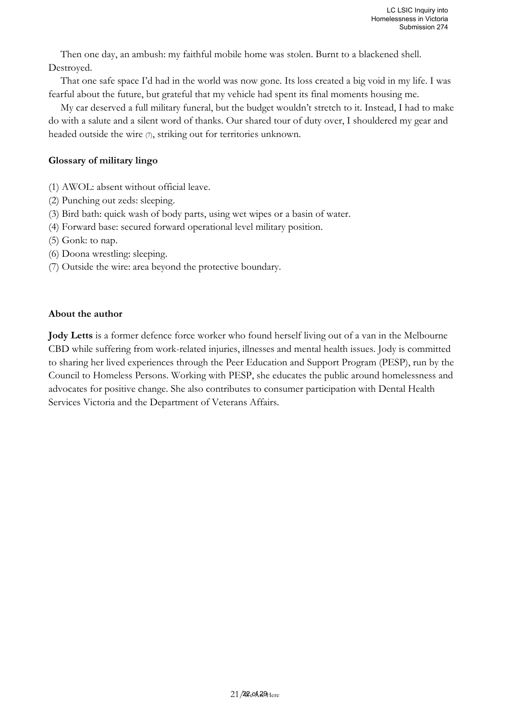Then one day, an ambush: my faithful mobile home was stolen. Burnt to a blackened shell. Destroyed.

That one safe space I'd had in the world was now gone. Its loss created a big void in my life. I was fearful about the future, but grateful that my vehicle had spent its final moments housing me.

My car deserved a full military funeral, but the budget wouldn't stretch to it. Instead, I had to make do with a salute and a silent word of thanks. Our shared tour of duty over, I shouldered my gear and headed outside the wire  $(7)$ , striking out for territories unknown.

#### **Glossary of military lingo**

- (1) AWOL: absent without official leave.
- (2) Punching out zeds: sleeping.
- (3) Bird bath: quick wash of body parts, using wet wipes or a basin of water.
- (4) Forward base: secured forward operational level military position.
- (5) Gonk: to nap.
- (6) Doona wrestling: sleeping.
- (7) Outside the wire: area beyond the protective boundary.

#### **About the author**

**Jody Letts** is a former defence force worker who found herself living out of a van in the Melbourne CBD while suffering from work-related injuries, illnesses and mental health issues. Jody is committed to sharing her lived experiences through the Peer Education and Support Program (PESP), run by the Council to Homeless Persons. Working with PESP, she educates the public around homelessness and advocates for positive change. She also contributes to consumer participation with Dental Health Services Victoria and the Department of Veterans Affairs.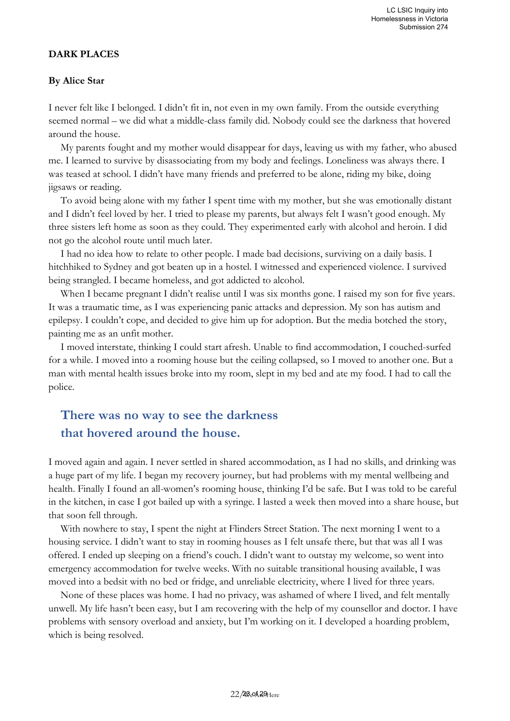#### **DARK PLACES**

#### **By Alice Star**

I never felt like I belonged. I didn't fit in, not even in my own family. From the outside everything seemed normal – we did what a middle-class family did. Nobody could see the darkness that hovered around the house.

My parents fought and my mother would disappear for days, leaving us with my father, who abused me. I learned to survive by disassociating from my body and feelings. Loneliness was always there. I was teased at school. I didn't have many friends and preferred to be alone, riding my bike, doing jigsaws or reading.

To avoid being alone with my father I spent time with my mother, but she was emotionally distant and I didn't feel loved by her. I tried to please my parents, but always felt I wasn't good enough. My three sisters left home as soon as they could. They experimented early with alcohol and heroin. I did not go the alcohol route until much later.

I had no idea how to relate to other people. I made bad decisions, surviving on a daily basis. I hitchhiked to Sydney and got beaten up in a hostel. I witnessed and experienced violence. I survived being strangled. I became homeless, and got addicted to alcohol.

When I became pregnant I didn't realise until I was six months gone. I raised my son for five years. It was a traumatic time, as I was experiencing panic attacks and depression. My son has autism and epilepsy. I couldn't cope, and decided to give him up for adoption. But the media botched the story, painting me as an unfit mother.

I moved interstate, thinking I could start afresh. Unable to find accommodation, I couched-surfed for a while. I moved into a rooming house but the ceiling collapsed, so I moved to another one. But a man with mental health issues broke into my room, slept in my bed and ate my food. I had to call the police.

# **There was no way to see the darkness that hovered around the house.**

I moved again and again. I never settled in shared accommodation, as I had no skills, and drinking was a huge part of my life. I began my recovery journey, but had problems with my mental wellbeing and health. Finally I found an all-women's rooming house, thinking I'd be safe. But I was told to be careful in the kitchen, in case I got bailed up with a syringe. I lasted a week then moved into a share house, but that soon fell through.

With nowhere to stay, I spent the night at Flinders Street Station. The next morning I went to a housing service. I didn't want to stay in rooming houses as I felt unsafe there, but that was all I was offered. I ended up sleeping on a friend's couch. I didn't want to outstay my welcome, so went into emergency accommodation for twelve weeks. With no suitable transitional housing available, I was moved into a bedsit with no bed or fridge, and unreliable electricity, where I lived for three years.

None of these places was home. I had no privacy, was ashamed of where I lived, and felt mentally unwell. My life hasn't been easy, but I am recovering with the help of my counsellor and doctor. I have problems with sensory overload and anxiety, but I'm working on it. I developed a hoarding problem, which is being resolved.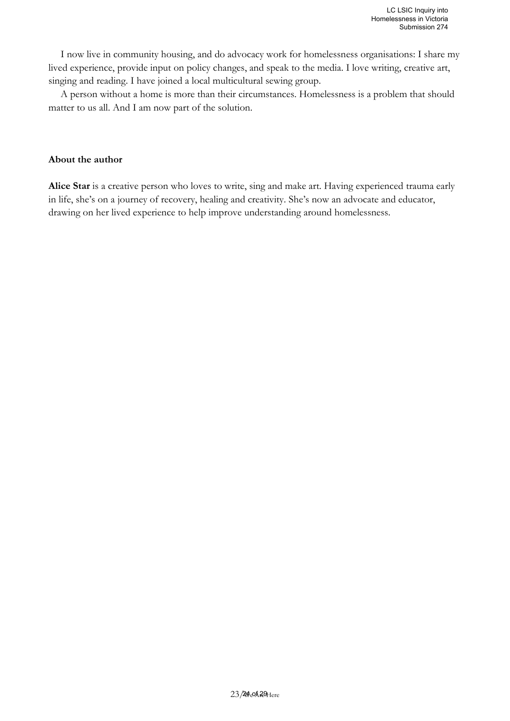I now live in community housing, and do advocacy work for homelessness organisations: I share my lived experience, provide input on policy changes, and speak to the media. I love writing, creative art, singing and reading. I have joined a local multicultural sewing group.

A person without a home is more than their circumstances. Homelessness is a problem that should matter to us all. And I am now part of the solution.

#### **About the author**

**Alice Star** is a creative person who loves to write, sing and make art. Having experienced trauma early in life, she's on a journey of recovery, healing and creativity. She's now an advocate and educator, drawing on her lived experience to help improve understanding around homelessness.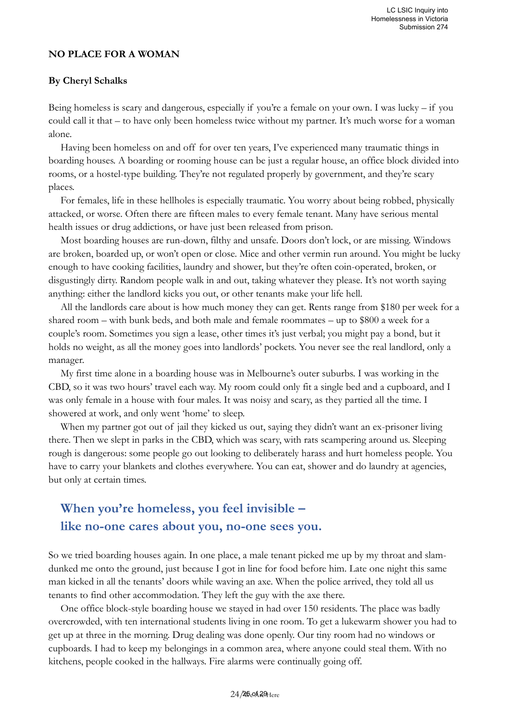#### **NO PLACE FOR A WOMAN**

#### **By Cheryl Schalks**

Being homeless is scary and dangerous, especially if you're a female on your own. I was lucky – if you could call it that – to have only been homeless twice without my partner. It's much worse for a woman alone.

Having been homeless on and off for over ten years, I've experienced many traumatic things in boarding houses. A boarding or rooming house can be just a regular house, an office block divided into rooms, or a hostel-type building. They're not regulated properly by government, and they're scary places.

For females, life in these hellholes is especially traumatic. You worry about being robbed, physically attacked, or worse. Often there are fifteen males to every female tenant. Many have serious mental health issues or drug addictions, or have just been released from prison.

Most boarding houses are run-down, filthy and unsafe. Doors don't lock, or are missing. Windows are broken, boarded up, or won't open or close. Mice and other vermin run around. You might be lucky enough to have cooking facilities, laundry and shower, but they're often coin-operated, broken, or disgustingly dirty. Random people walk in and out, taking whatever they please. It's not worth saying anything: either the landlord kicks you out, or other tenants make your life hell.

All the landlords care about is how much money they can get. Rents range from \$180 per week for a shared room – with bunk beds, and both male and female roommates – up to \$800 a week for a couple's room. Sometimes you sign a lease, other times it's just verbal; you might pay a bond, but it holds no weight, as all the money goes into landlords' pockets. You never see the real landlord, only a manager.

My first time alone in a boarding house was in Melbourne's outer suburbs. I was working in the CBD, so it was two hours' travel each way. My room could only fit a single bed and a cupboard, and I was only female in a house with four males. It was noisy and scary, as they partied all the time. I showered at work, and only went 'home' to sleep.

When my partner got out of jail they kicked us out, saying they didn't want an ex-prisoner living there. Then we slept in parks in the CBD, which was scary, with rats scampering around us. Sleeping rough is dangerous: some people go out looking to deliberately harass and hurt homeless people. You have to carry your blankets and clothes everywhere. You can eat, shower and do laundry at agencies, but only at certain times.

# **When you're homeless, you feel invisible – like no-one cares about you, no-one sees you.**

So we tried boarding houses again. In one place, a male tenant picked me up by my throat and slamdunked me onto the ground, just because I got in line for food before him. Late one night this same man kicked in all the tenants' doors while waving an axe. When the police arrived, they told all us tenants to find other accommodation. They left the guy with the axe there.

One office block-style boarding house we stayed in had over 150 residents. The place was badly overcrowded, with ten international students living in one room. To get a lukewarm shower you had to get up at three in the morning. Drug dealing was done openly. Our tiny room had no windows or cupboards. I had to keep my belongings in a common area, where anyone could steal them. With no kitchens, people cooked in the hallways. Fire alarms were continually going off.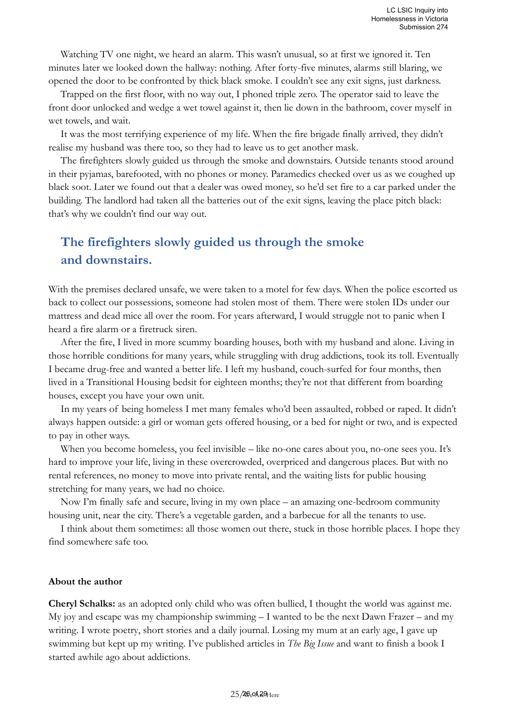Watching TV one night, we heard an alarm. This wasn't unusual, so at first we ignored it. Ten minutes later we looked down the hallway: nothing. After forty-five minutes, alarms still blaring, we opened the door to be confronted by thick black smoke. I couldn't see any exit signs, just darkness.

Trapped on the first floor, with no way out, I phoned triple zero. The operator said to leave the front door unlocked and wedge a wet towel against it, then lie down in the bathroom, cover myself in wet towels, and wait.

It was the most terrifying experience of my life. When the fire brigade finally arrived, they didn't realise my husband was there too, so they had to leave us to get another mask.

The firefighters slowly guided us through the smoke and downstairs. Outside tenants stood around in their pyjamas, barefooted, with no phones or money. Paramedics checked over us as we coughed up black soot. Later we found out that a dealer was owed money, so he'd set fire to a car parked under the building. The landlord had taken all the batteries out of the exit signs, leaving the place pitch black: that's why we couldn't find our way out.

# **The firefighters slowly guided us through the smoke and downstairs.**

With the premises declared unsafe, we were taken to a motel for few days. When the police escorted us back to collect our possessions, someone had stolen most of them. There were stolen IDs under our mattress and dead mice all over the room. For years afterward, I would struggle not to panic when I heard a fire alarm or a firetruck siren.

After the fire, I lived in more scummy boarding houses, both with my husband and alone. Living in those horrible conditions for many years, while struggling with drug addictions, took its toll. Eventually I became drug-free and wanted a better life. I left my husband, couch-surfed for four months, then lived in a Transitional Housing bedsit for eighteen months; they're not that different from boarding houses, except you have your own unit.

In my years of being homeless I met many females who'd been assaulted, robbed or raped. It didn't always happen outside: a girl or woman gets offered housing, or a bed for night or two, and is expected to pay in other ways.

When you become homeless, you feel invisible – like no-one cares about you, no-one sees you. It's hard to improve your life, living in these overcrowded, overpriced and dangerous places. But with no rental references, no money to move into private rental, and the waiting lists for public housing stretching for many years, we had no choice.

Now I'm finally safe and secure, living in my own place – an amazing one-bedroom community housing unit, near the city. There's a vegetable garden, and a barbecue for all the tenants to use.

I think about them sometimes: all those women out there, stuck in those horrible places. I hope they find somewhere safe too.

#### **About the author**

**Cheryl Schalks:** as an adopted only child who was often bullied, I thought the world was against me. My joy and escape was my championship swimming – I wanted to be the next Dawn Frazer – and my writing. I wrote poetry, short stories and a daily journal. Losing my mum at an early age, I gave up swimming but kept up my writing. I've published articles in *The Big Issue* and want to finish a book I started awhile ago about addictions.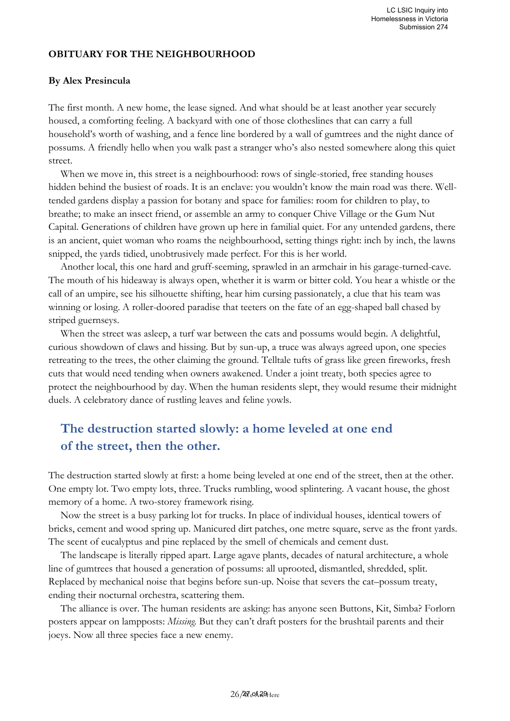#### **OBITUARY FOR THE NEIGHBOURHOOD**

#### **By Alex Presincula**

The first month. A new home, the lease signed. And what should be at least another year securely housed, a comforting feeling. A backyard with one of those clotheslines that can carry a full household's worth of washing, and a fence line bordered by a wall of gumtrees and the night dance of possums. A friendly hello when you walk past a stranger who's also nested somewhere along this quiet street.

When we move in, this street is a neighbourhood: rows of single-storied, free standing houses hidden behind the busiest of roads. It is an enclave: you wouldn't know the main road was there. Welltended gardens display a passion for botany and space for families: room for children to play, to breathe; to make an insect friend, or assemble an army to conquer Chive Village or the Gum Nut Capital. Generations of children have grown up here in familial quiet. For any untended gardens, there is an ancient, quiet woman who roams the neighbourhood, setting things right: inch by inch, the lawns snipped, the yards tidied, unobtrusively made perfect. For this is her world.

Another local, this one hard and gruff-seeming, sprawled in an armchair in his garage-turned-cave. The mouth of his hideaway is always open, whether it is warm or bitter cold. You hear a whistle or the call of an umpire, see his silhouette shifting, hear him cursing passionately, a clue that his team was winning or losing. A roller-doored paradise that teeters on the fate of an egg-shaped ball chased by striped guernseys.

When the street was asleep, a turf war between the cats and possums would begin. A delightful, curious showdown of claws and hissing. But by sun-up, a truce was always agreed upon, one species retreating to the trees, the other claiming the ground. Telltale tufts of grass like green fireworks, fresh cuts that would need tending when owners awakened. Under a joint treaty, both species agree to protect the neighbourhood by day. When the human residents slept, they would resume their midnight duels. A celebratory dance of rustling leaves and feline yowls.

# **The destruction started slowly: a home leveled at one end of the street, then the other.**

The destruction started slowly at first: a home being leveled at one end of the street, then at the other. One empty lot. Two empty lots, three. Trucks rumbling, wood splintering. A vacant house, the ghost memory of a home. A two-storey framework rising.

Now the street is a busy parking lot for trucks. In place of individual houses, identical towers of bricks, cement and wood spring up. Manicured dirt patches, one metre square, serve as the front yards. The scent of eucalyptus and pine replaced by the smell of chemicals and cement dust.

The landscape is literally ripped apart. Large agave plants, decades of natural architecture, a whole line of gumtrees that housed a generation of possums: all uprooted, dismantled, shredded, split. Replaced by mechanical noise that begins before sun-up. Noise that severs the cat–possum treaty, ending their nocturnal orchestra, scattering them.

The alliance is over. The human residents are asking: has anyone seen Buttons, Kit, Simba? Forlorn posters appear on lampposts: *Missing.* But they can't draft posters for the brushtail parents and their joeys. Now all three species face a new enemy.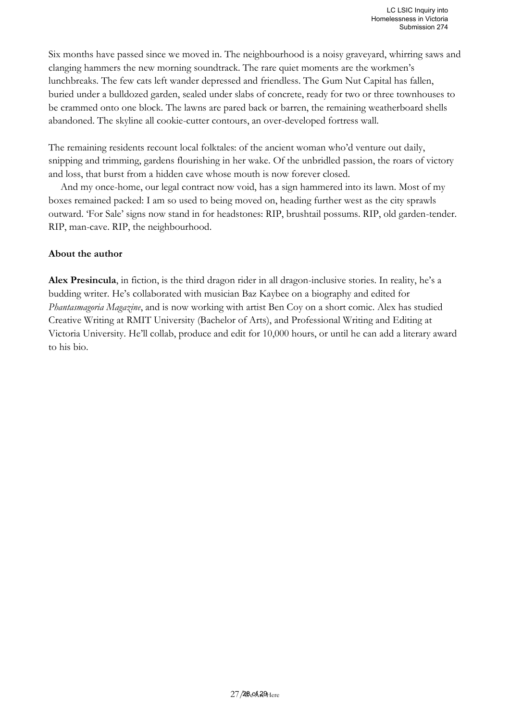Six months have passed since we moved in. The neighbourhood is a noisy graveyard, whirring saws and clanging hammers the new morning soundtrack. The rare quiet moments are the workmen's lunchbreaks. The few cats left wander depressed and friendless. The Gum Nut Capital has fallen, buried under a bulldozed garden, sealed under slabs of concrete, ready for two or three townhouses to be crammed onto one block. The lawns are pared back or barren, the remaining weatherboard shells abandoned. The skyline all cookie-cutter contours, an over-developed fortress wall.

The remaining residents recount local folktales: of the ancient woman who'd venture out daily, snipping and trimming, gardens flourishing in her wake. Of the unbridled passion, the roars of victory and loss, that burst from a hidden cave whose mouth is now forever closed.

And my once-home, our legal contract now void, has a sign hammered into its lawn. Most of my boxes remained packed: I am so used to being moved on, heading further west as the city sprawls outward. 'For Sale' signs now stand in for headstones: RIP, brushtail possums. RIP, old garden-tender. RIP, man-cave. RIP, the neighbourhood.

#### **About the author**

**Alex Presincula**, in fiction, is the third dragon rider in all dragon-inclusive stories. In reality, he's a budding writer. He's collaborated with musician Baz Kaybee on a biography and edited for *Phantasmagoria Magazine*, and is now working with artist Ben Coy on a short comic. Alex has studied Creative Writing at RMIT University (Bachelor of Arts), and Professional Writing and Editing at Victoria University. He'll collab, produce and edit for 10,000 hours, or until he can add a literary award to his bio.